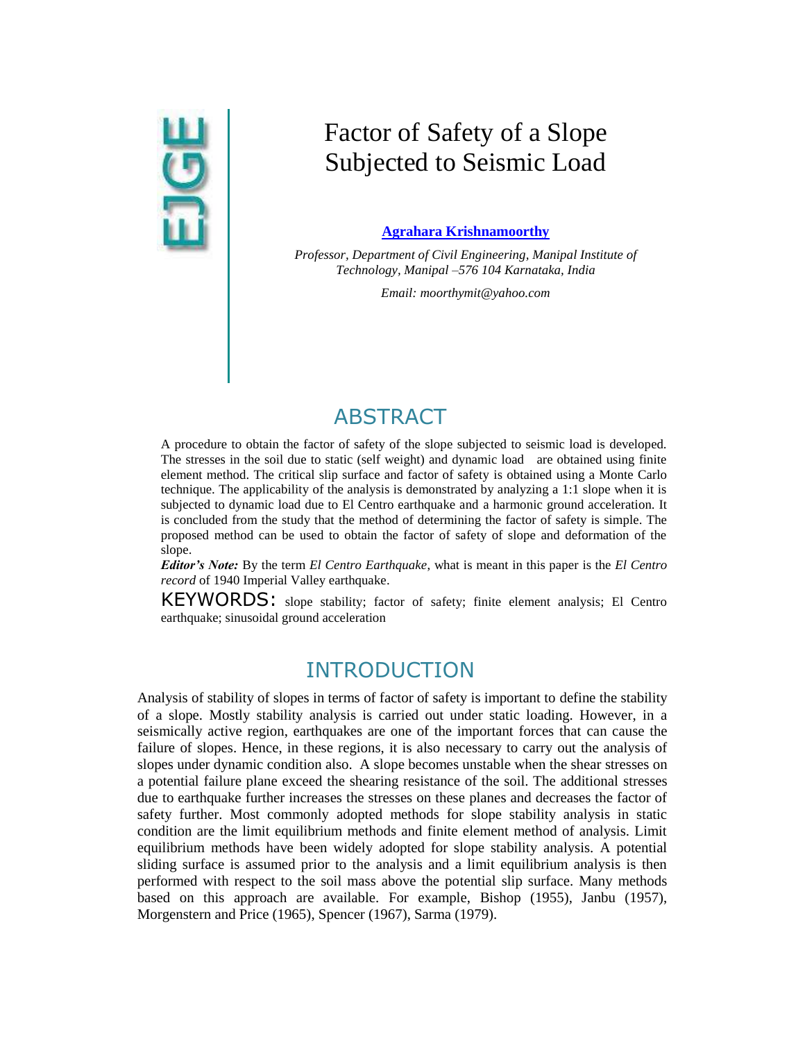# $\overline{9}$

# Factor of Safety of a Slope Subjected to Seismic Load

#### **[Agrahara Krishnamoorthy](mailto:%20moorthymit@yahoo.com?subject=EJGE%20paper)**

*Professor, Department of Civil Engineering, Manipal Institute of Technology, Manipal –576 104 Karnataka, India*

*Email[: moorthymit@yahoo.com](mailto:moorthymit@yahoo.com)*

# **ABSTRACT**

A procedure to obtain the factor of safety of the slope subjected to seismic load is developed. The stresses in the soil due to static (self weight) and dynamic load are obtained using finite element method. The critical slip surface and factor of safety is obtained using a Monte Carlo technique. The applicability of the analysis is demonstrated by analyzing a 1:1 slope when it is subjected to dynamic load due to El Centro earthquake and a harmonic ground acceleration. It is concluded from the study that the method of determining the factor of safety is simple. The proposed method can be used to obtain the factor of safety of slope and deformation of the slope.

*Editor's Note:* By the term *El Centro Earthquake*, what is meant in this paper is the *El Centro record* of 1940 Imperial Valley earthquake.

KEYWORDS: slope stability; factor of safety; finite element analysis; El Centro earthquake; sinusoidal ground acceleration

# INTRODUCTION

Analysis of stability of slopes in terms of factor of safety is important to define the stability of a slope. Mostly stability analysis is carried out under static loading. However, in a seismically active region, earthquakes are one of the important forces that can cause the failure of slopes. Hence, in these regions, it is also necessary to carry out the analysis of slopes under dynamic condition also. A slope becomes unstable when the shear stresses on a potential failure plane exceed the shearing resistance of the soil. The additional stresses due to earthquake further increases the stresses on these planes and decreases the factor of safety further. Most commonly adopted methods for slope stability analysis in static condition are the limit equilibrium methods and finite element method of analysis. Limit equilibrium methods have been widely adopted for slope stability analysis. A potential sliding surface is assumed prior to the analysis and a limit equilibrium analysis is then performed with respect to the soil mass above the potential slip surface. Many methods based on this approach are available. For example, Bishop (1955), Janbu (1957), Morgenstern and Price (1965), Spencer (1967), Sarma (1979).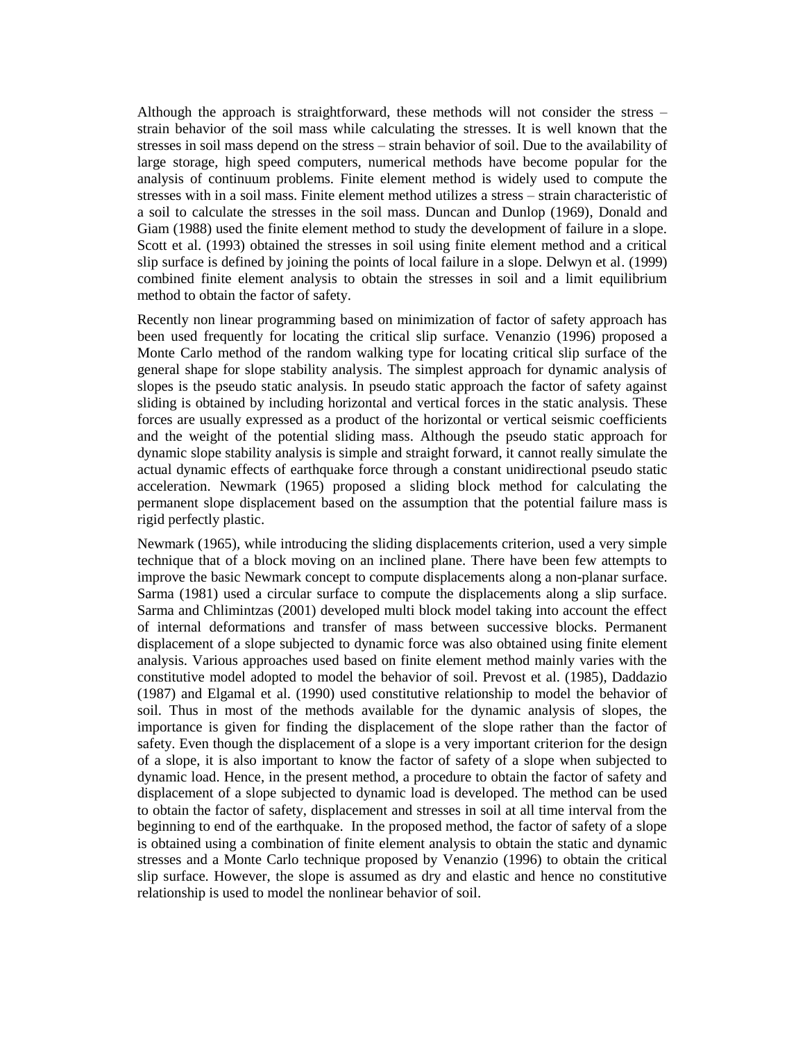Although the approach is straightforward, these methods will not consider the stress – strain behavior of the soil mass while calculating the stresses. It is well known that the stresses in soil mass depend on the stress – strain behavior of soil. Due to the availability of large storage, high speed computers, numerical methods have become popular for the analysis of continuum problems. Finite element method is widely used to compute the stresses with in a soil mass. Finite element method utilizes a stress – strain characteristic of a soil to calculate the stresses in the soil mass. Duncan and Dunlop (1969), Donald and Giam (1988) used the finite element method to study the development of failure in a slope. Scott et al. (1993) obtained the stresses in soil using finite element method and a critical slip surface is defined by joining the points of local failure in a slope. Delwyn et al. (1999) combined finite element analysis to obtain the stresses in soil and a limit equilibrium method to obtain the factor of safety.

Recently non linear programming based on minimization of factor of safety approach has been used frequently for locating the critical slip surface. Venanzio (1996) proposed a Monte Carlo method of the random walking type for locating critical slip surface of the general shape for slope stability analysis. The simplest approach for dynamic analysis of slopes is the pseudo static analysis. In pseudo static approach the factor of safety against sliding is obtained by including horizontal and vertical forces in the static analysis. These forces are usually expressed as a product of the horizontal or vertical seismic coefficients and the weight of the potential sliding mass. Although the pseudo static approach for dynamic slope stability analysis is simple and straight forward, it cannot really simulate the actual dynamic effects of earthquake force through a constant unidirectional pseudo static acceleration. Newmark (1965) proposed a sliding block method for calculating the permanent slope displacement based on the assumption that the potential failure mass is rigid perfectly plastic.

Newmark (1965), while introducing the sliding displacements criterion, used a very simple technique that of a block moving on an inclined plane. There have been few attempts to improve the basic Newmark concept to compute displacements along a non-planar surface. Sarma (1981) used a circular surface to compute the displacements along a slip surface. Sarma and Chlimintzas (2001) developed multi block model taking into account the effect of internal deformations and transfer of mass between successive blocks. Permanent displacement of a slope subjected to dynamic force was also obtained using finite element analysis. Various approaches used based on finite element method mainly varies with the constitutive model adopted to model the behavior of soil. Prevost et al. (1985), Daddazio (1987) and Elgamal et al. (1990) used constitutive relationship to model the behavior of soil. Thus in most of the methods available for the dynamic analysis of slopes, the importance is given for finding the displacement of the slope rather than the factor of safety. Even though the displacement of a slope is a very important criterion for the design of a slope, it is also important to know the factor of safety of a slope when subjected to dynamic load. Hence, in the present method, a procedure to obtain the factor of safety and displacement of a slope subjected to dynamic load is developed. The method can be used to obtain the factor of safety, displacement and stresses in soil at all time interval from the beginning to end of the earthquake. In the proposed method, the factor of safety of a slope is obtained using a combination of finite element analysis to obtain the static and dynamic stresses and a Monte Carlo technique proposed by Venanzio (1996) to obtain the critical slip surface. However, the slope is assumed as dry and elastic and hence no constitutive relationship is used to model the nonlinear behavior of soil.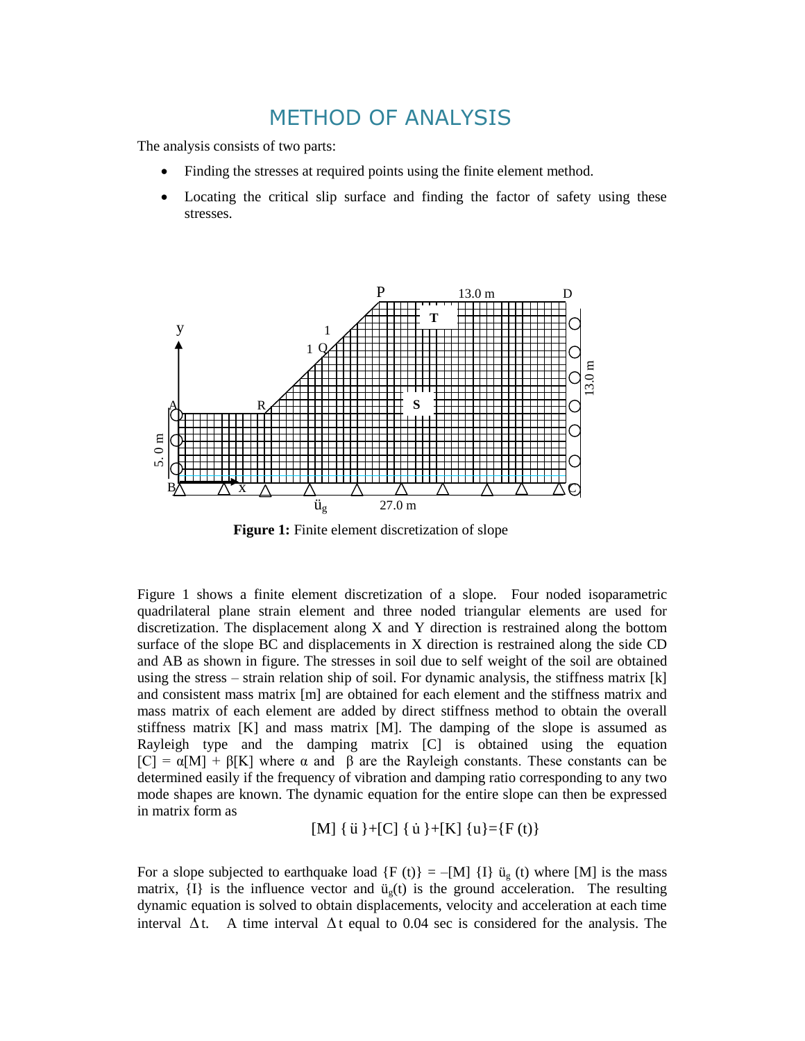# METHOD OF ANALYSIS

The analysis consists of two parts:

- Finding the stresses at required points using the finite element method.
- Locating the critical slip surface and finding the factor of safety using these stresses.



**Figure 1:** Finite element discretization of slope

Figure 1 shows a finite element discretization of a slope. Four noded isoparametric quadrilateral plane strain element and three noded triangular elements are used for discretization. The displacement along X and Y direction is restrained along the bottom surface of the slope BC and displacements in X direction is restrained along the side CD and AB as shown in figure. The stresses in soil due to self weight of the soil are obtained using the stress – strain relation ship of soil. For dynamic analysis, the stiffness matrix  $[k]$ and consistent mass matrix [m] are obtained for each element and the stiffness matrix and mass matrix of each element are added by direct stiffness method to obtain the overall stiffness matrix  $[K]$  and mass matrix  $[M]$ . The damping of the slope is assumed as Rayleigh type and the damping matrix [C] is obtained using the equation  $[C] = \alpha[M] + \beta[K]$  where  $\alpha$  and  $\beta$  are the Rayleigh constants. These constants can be determined easily if the frequency of vibration and damping ratio corresponding to any two mode shapes are known. The dynamic equation for the entire slope can then be expressed in matrix form as

[M]  $\{ \dot{u} \} + [C] \{ \dot{u} \} + [K] \{ u \} = \{ F(t) \}$ 

For a slope subjected to earthquake load  ${F (t)} = -[M] {I} \ddot{u}_g (t)$  where [M] is the mass matrix,  $\{I\}$  is the influence vector and  $\ddot{u}_g(t)$  is the ground acceleration. The resulting dynamic equation is solved to obtain displacements, velocity and acceleration at each time interval  $\Delta t$ . A time interval  $\Delta t$  equal to 0.04 sec is considered for the analysis. The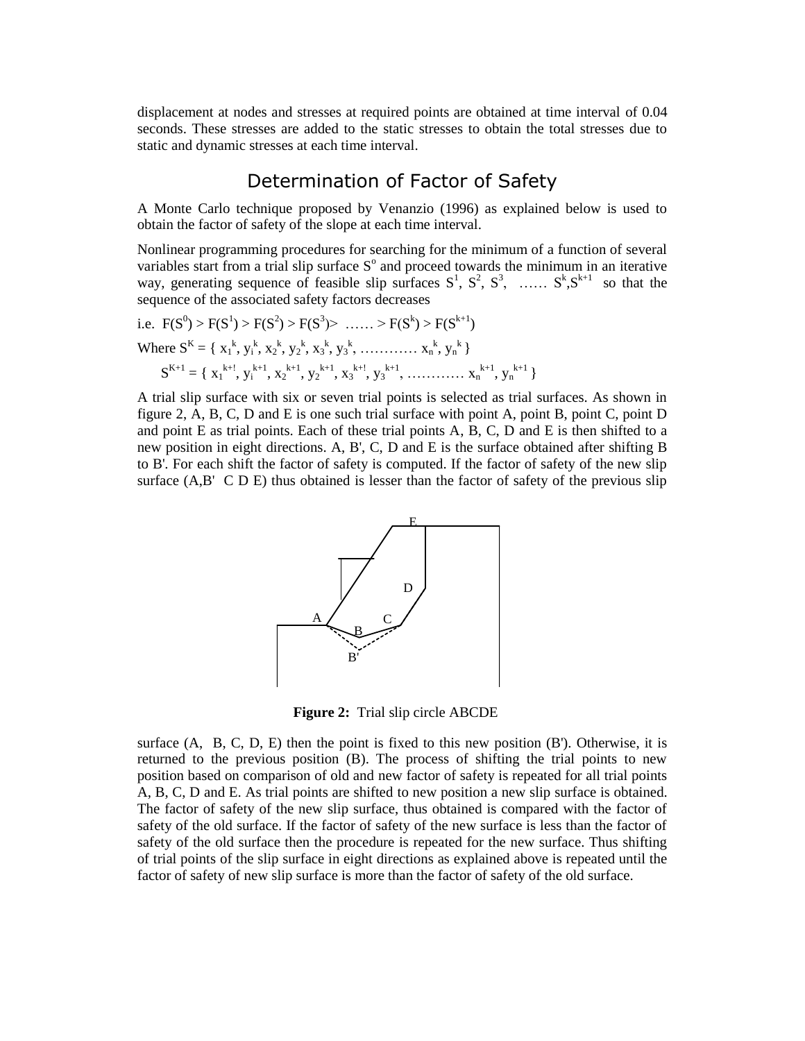displacement at nodes and stresses at required points are obtained at time interval of 0.04 seconds. These stresses are added to the static stresses to obtain the total stresses due to static and dynamic stresses at each time interval.

### Determination of Factor of Safety

A Monte Carlo technique proposed by Venanzio (1996) as explained below is used to obtain the factor of safety of the slope at each time interval.

Nonlinear programming procedures for searching for the minimum of a function of several variables start from a trial slip surface  $S<sup>o</sup>$  and proceed towards the minimum in an iterative way, generating sequence of feasible slip surfaces  $S^1$ ,  $S^2$ ,  $S^3$ , ......  $S^k$ ,  $S^{k+1}$  so that the sequence of the associated safety factors decreases

i.e. 
$$
F(S^0) > F(S^1) > F(S^2) > F(S^3) > \dots > F(S^k) > F(S^{k+1})
$$
  
\nWhere  $S^K = \{ x_1^k, y_i^k, x_2^k, y_2^k, x_3^k, y_3^k, \dots, x_n^k, y_n^k \}$   
\n $S^{K+1} = \{ x_1^{k+1}, y_i^{k+1}, x_2^{k+1}, y_2^{k+1}, x_3^{k+1}, y_3^{k+1}, \dots, x_n^{k+1}, y_n^{k+1} \}$ 

A trial slip surface with six or seven trial points is selected as trial surfaces. As shown in figure 2, A, B, C, D and E is one such trial surface with point A, point B, point C, point D and point E as trial points. Each of these trial points  $A$ ,  $B$ ,  $C$ ,  $D$  and  $E$  is then shifted to a new position in eight directions. A, B', C, D and E is the surface obtained after shifting B to B'. For each shift the factor of safety is computed. If the factor of safety of the new slip surface (A,B' C D E) thus obtained is lesser than the factor of safety of the previous slip



**Figure 2:** Trial slip circle ABCDE

surface  $(A, B, C, D, E)$  then the point is fixed to this new position  $(B')$ . Otherwise, it is returned to the previous position (B). The process of shifting the trial points to new position based on comparison of old and new factor of safety is repeated for all trial points A, B, C, D and E. As trial points are shifted to new position a new slip surface is obtained. The factor of safety of the new slip surface, thus obtained is compared with the factor of safety of the old surface. If the factor of safety of the new surface is less than the factor of safety of the old surface then the procedure is repeated for the new surface. Thus shifting of trial points of the slip surface in eight directions as explained above is repeated until the factor of safety of new slip surface is more than the factor of safety of the old surface.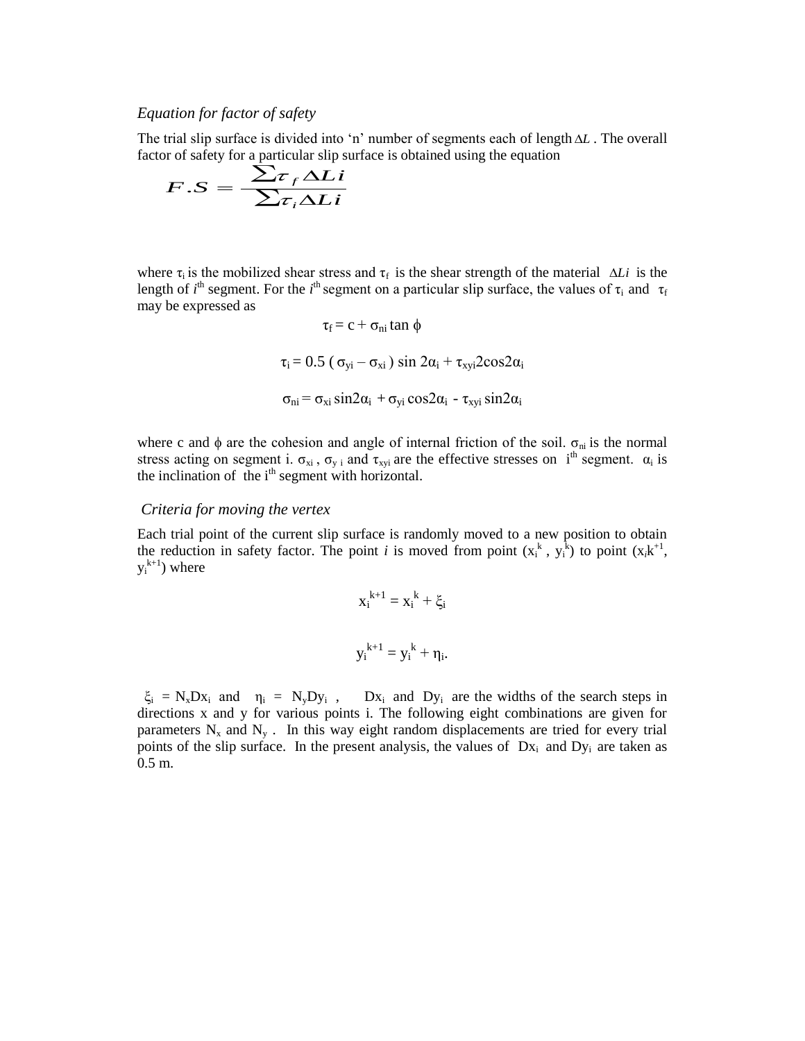#### *Equation for factor of safety*

The trial slip surface is divided into 'n' number of segments each of length  $\Delta L$ . The overall factor of safety for a particular slip surface is obtained using the equation<br>  $E \times \frac{E}{\sqrt{L}}$ 

$$
F.S = \frac{\sum \tau_f \Delta Li}{\sum \tau_i \Delta Li}
$$

where  $\tau_i$  is the mobilized shear stress and  $\tau_f$  is the shear strength of the material  $\Delta Li$  is the length of *i*<sup>th</sup> segment. For the *i*<sup>th</sup> segment on a particular slip surface, the values of  $\tau_i$  and  $\tau_f$ may be expressed as

$$
\tau_f = c + \sigma_{ni} \tan \phi
$$
  
\n
$$
\tau_i = 0.5 (\sigma_{yi} - \sigma_{xi}) \sin 2\alpha_i + \tau_{xyi} 2\cos 2\alpha_i
$$
  
\n
$$
\sigma_{ni} = \sigma_{xi} \sin 2\alpha_i + \sigma_{yi} \cos 2\alpha_i - \tau_{xyi} \sin 2\alpha_i
$$

where c and  $\phi$  are the cohesion and angle of internal friction of the soil.  $\sigma_{ni}$  is the normal stress acting on segment i.  $\sigma_{xi}$ ,  $\sigma_{y}$  and  $\tau_{xyi}$  are the effective stresses on i<sup>th</sup> segment.  $\alpha_i$  is the inclination of the  $i<sup>th</sup>$  segment with horizontal.

#### *Criteria for moving the vertex*

Each trial point of the current slip surface is randomly moved to a new position to obtain the reduction in safety factor. The point *i* is moved from point  $(x_i^k, y_i^k)$  to point  $(x_i^k)^{t+1}$ ,  $y_i^{k+1}$ ) where

$$
x_i^{k+1} = x_i^k + \xi_i
$$
  

$$
y_i^{k+1} = y_i^k + \eta_i.
$$

 $\xi_i = N_x D x_i$  and  $\eta_i = N_y D y_i$ ,  $D x_i$  and  $D y_i$  are the widths of the search steps in directions x and y for various points i. The following eight combinations are given for parameters  $N_x$  and  $N_y$ . In this way eight random displacements are tried for every trial points of the slip surface. In the present analysis, the values of  $Dx_i$  and  $Dy_i$  are taken as 0.5 m.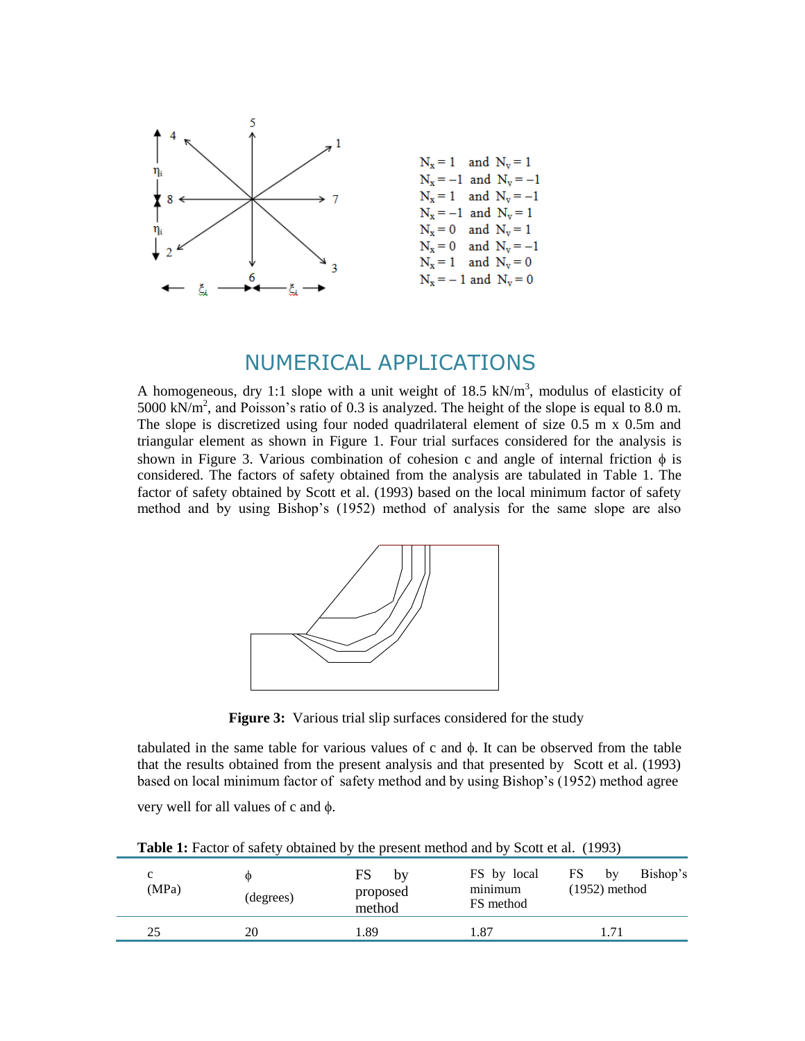

# NUMERICAL APPLICATIONS

A homogeneous, dry 1:1 slope with a unit weight of 18.5 kN/m<sup>3</sup>, modulus of elasticity of 5000 kN/ $m^2$ , and Poisson's ratio of 0.3 is analyzed. The height of the slope is equal to 8.0 m. The slope is discretized using four noded quadrilateral element of size 0.5 m x 0.5m and triangular element as shown in Figure 1. Four trial surfaces considered for the analysis is shown in Figure 3. Various combination of cohesion c and angle of internal friction  $\phi$  is considered. The factors of safety obtained from the analysis are tabulated in Table 1. The factor of safety obtained by Scott et al. (1993) based on the local minimum factor of safety method and by using Bishop's (1952) method of analysis for the same slope are also



**Figure 3:** Various trial slip surfaces considered for the study

tabulated in the same table for various values of c and  $\phi$ . It can be observed from the table that the results obtained from the present analysis and that presented by Scott et al. (1993) based on local minimum factor of safety method and by using Bishop's (1952) method agree

very well for all values of c and  $\phi$ .

**Table 1:** Factor of safety obtained by the present method and by Scott et al. (1993)

| c<br>(MPa) | Ф<br>(degrees) | FS<br>by<br>proposed<br>method | FS by local<br>minimum<br>FS method | FS<br>Bishop's<br>by<br>$(1952)$ method |
|------------|----------------|--------------------------------|-------------------------------------|-----------------------------------------|
| 25         | 20             | 1.89                           | 1.87                                | . 71                                    |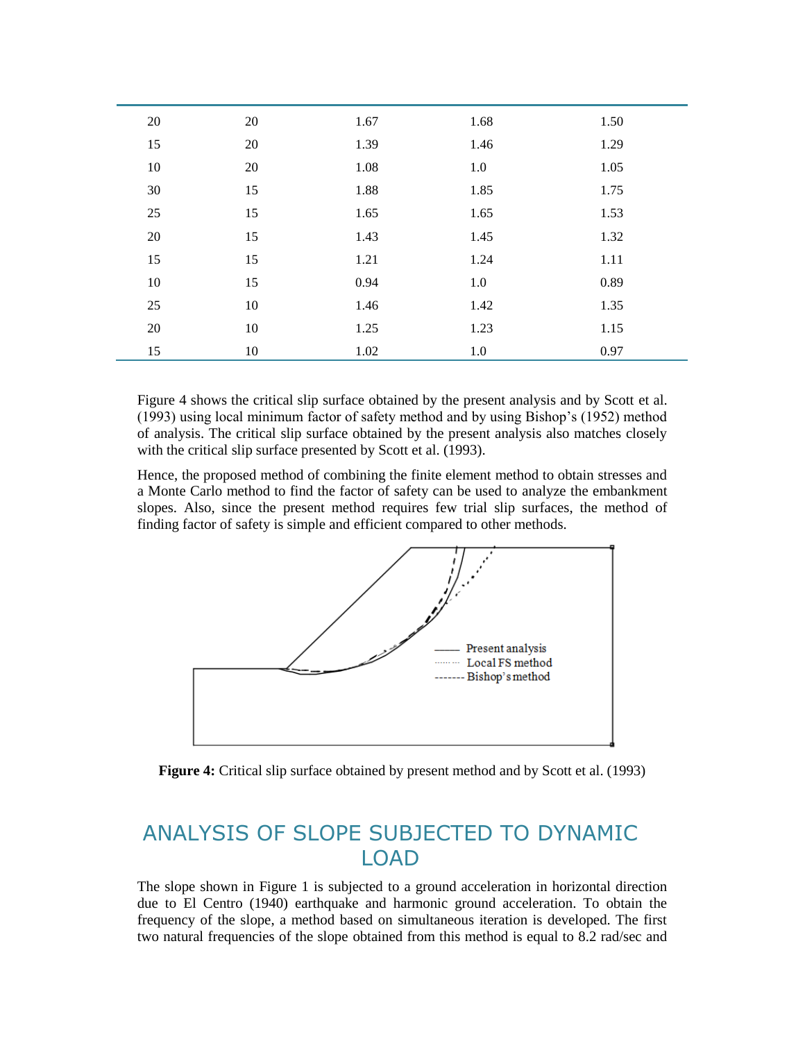| $20\,$ | 20     | 1.67 | 1.68 | 1.50 |
|--------|--------|------|------|------|
| 15     | 20     | 1.39 | 1.46 | 1.29 |
| 10     | 20     | 1.08 | 1.0  | 1.05 |
| 30     | 15     | 1.88 | 1.85 | 1.75 |
| 25     | 15     | 1.65 | 1.65 | 1.53 |
| 20     | 15     | 1.43 | 1.45 | 1.32 |
| 15     | 15     | 1.21 | 1.24 | 1.11 |
| 10     | 15     | 0.94 | 1.0  | 0.89 |
| 25     | $10\,$ | 1.46 | 1.42 | 1.35 |
| 20     | $10\,$ | 1.25 | 1.23 | 1.15 |
| 15     | 10     | 1.02 | 1.0  | 0.97 |

Figure 4 shows the critical slip surface obtained by the present analysis and by Scott et al. (1993) using local minimum factor of safety method and by using Bishop's (1952) method of analysis. The critical slip surface obtained by the present analysis also matches closely with the critical slip surface presented by Scott et al. (1993).

Hence, the proposed method of combining the finite element method to obtain stresses and a Monte Carlo method to find the factor of safety can be used to analyze the embankment slopes. Also, since the present method requires few trial slip surfaces, the method of finding factor of safety is simple and efficient compared to other methods.





# ANALYSIS OF SLOPE SUBJECTED TO DYNAMIC LOAD

The slope shown in Figure 1 is subjected to a ground acceleration in horizontal direction due to El Centro (1940) earthquake and harmonic ground acceleration. To obtain the frequency of the slope, a method based on simultaneous iteration is developed. The first two natural frequencies of the slope obtained from this method is equal to 8.2 rad/sec and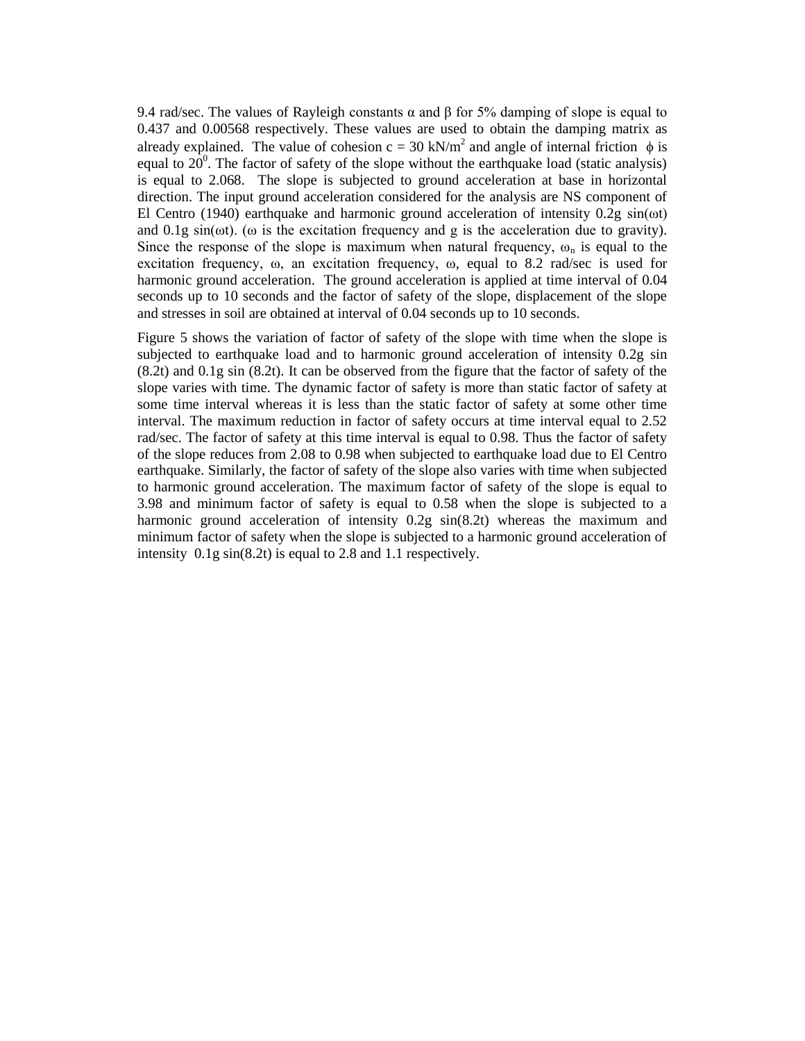9.4 rad/sec. The values of Rayleigh constants  $\alpha$  and  $\beta$  for 5% damping of slope is equal to 0.437 and 0.00568 respectively. These values are used to obtain the damping matrix as already explained. The value of cohesion  $c = 30 \text{ kN/m}^2$  and angle of internal friction  $\phi$  is equal to  $20^0$ . The factor of safety of the slope without the earthquake load (static analysis) is equal to 2.068. The slope is subjected to ground acceleration at base in horizontal direction. The input ground acceleration considered for the analysis are NS component of El Centro (1940) earthquake and harmonic ground acceleration of intensity 0.2g  $sin(\omega t)$ and 0.1g sin( $\omega$ t). ( $\omega$  is the excitation frequency and g is the acceleration due to gravity). Since the response of the slope is maximum when natural frequency,  $\omega_n$  is equal to the excitation frequency, ω, an excitation frequency, ω, equal to 8.2 rad/sec is used for harmonic ground acceleration. The ground acceleration is applied at time interval of 0.04 seconds up to 10 seconds and the factor of safety of the slope, displacement of the slope and stresses in soil are obtained at interval of 0.04 seconds up to 10 seconds.

Figure 5 shows the variation of factor of safety of the slope with time when the slope is subjected to earthquake load and to harmonic ground acceleration of intensity 0.2g sin (8.2t) and 0.1g sin (8.2t). It can be observed from the figure that the factor of safety of the slope varies with time. The dynamic factor of safety is more than static factor of safety at some time interval whereas it is less than the static factor of safety at some other time interval. The maximum reduction in factor of safety occurs at time interval equal to 2.52 rad/sec. The factor of safety at this time interval is equal to 0.98. Thus the factor of safety of the slope reduces from 2.08 to 0.98 when subjected to earthquake load due to El Centro earthquake. Similarly, the factor of safety of the slope also varies with time when subjected to harmonic ground acceleration. The maximum factor of safety of the slope is equal to 3.98 and minimum factor of safety is equal to 0.58 when the slope is subjected to a harmonic ground acceleration of intensity 0.2g sin(8.2t) whereas the maximum and minimum factor of safety when the slope is subjected to a harmonic ground acceleration of intensity 0.1g sin(8.2t) is equal to 2.8 and 1.1 respectively.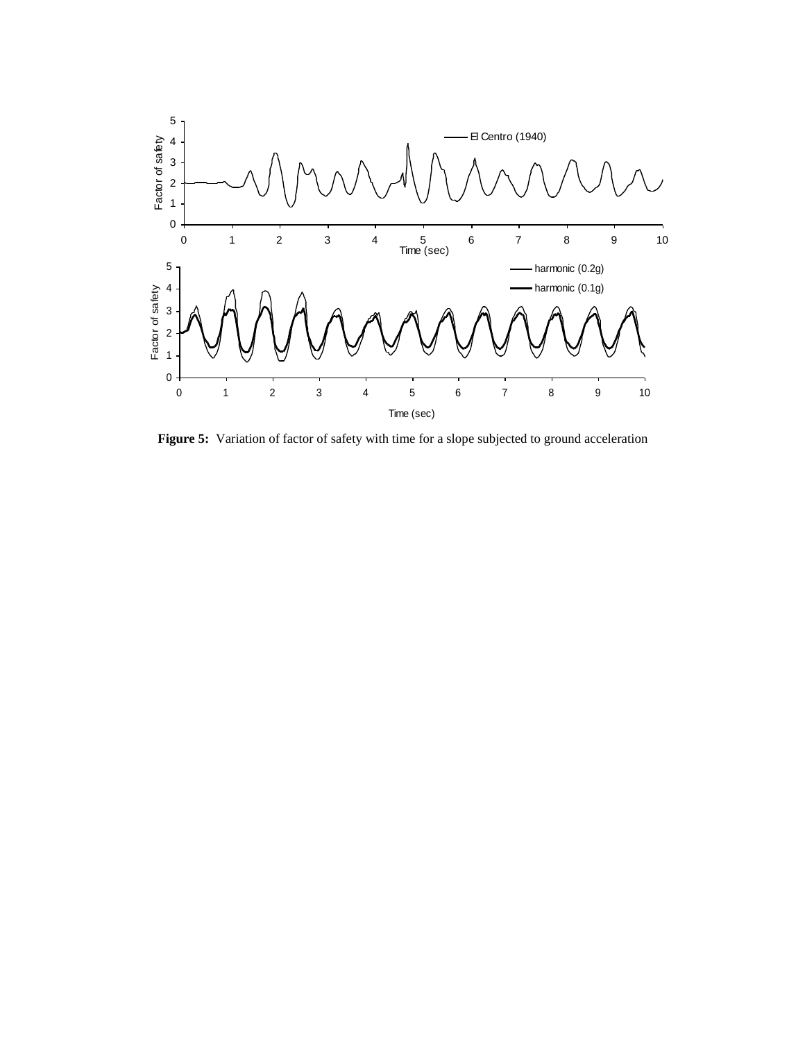

**Figure 5:** Variation of factor of safety with time for a slope subjected to ground acceleration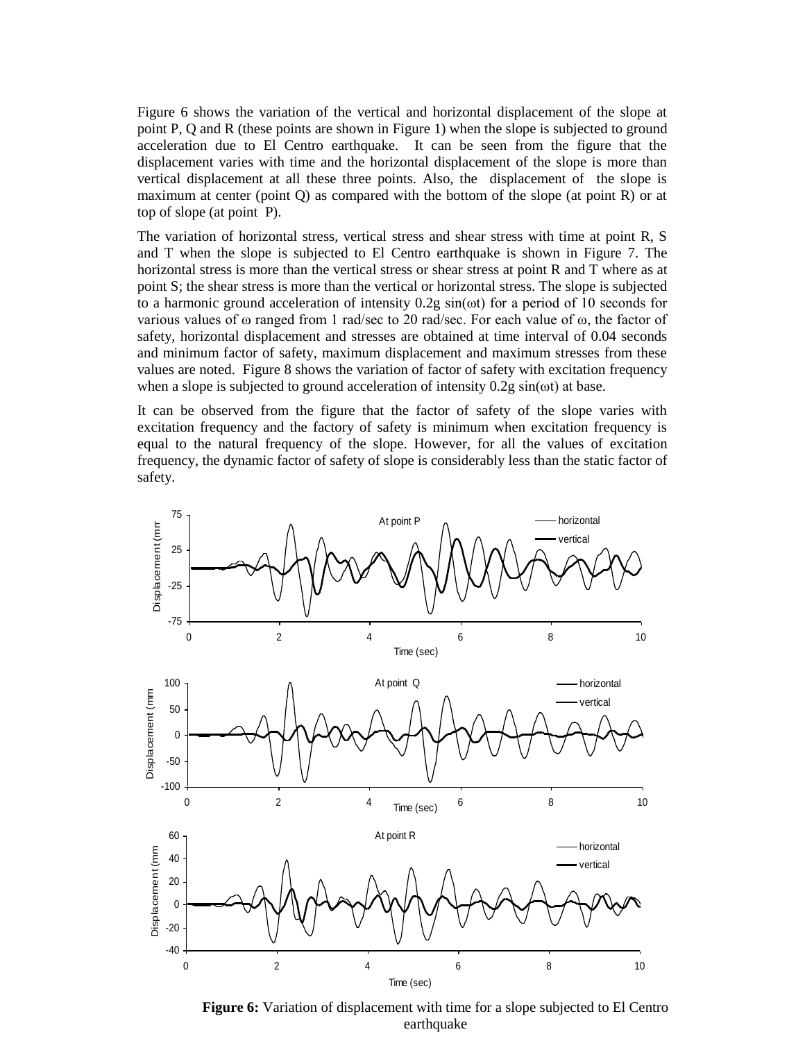Figure 6 shows the variation of the vertical and horizontal displacement of the slope at point P, Q and R (these points are shown in Figure 1) when the slope is subjected to ground acceleration due to El Centro earthquake. It can be seen from the figure that the displacement varies with time and the horizontal displacement of the slope is more than vertical displacement at all these three points. Also, the displacement of the slope is maximum at center (point Q) as compared with the bottom of the slope (at point R) or at top of slope (at point P).

The variation of horizontal stress, vertical stress and shear stress with time at point R, S and T when the slope is subjected to El Centro earthquake is shown in Figure 7. The horizontal stress is more than the vertical stress or shear stress at point R and T where as at point S; the shear stress is more than the vertical or horizontal stress. The slope is subjected to a harmonic ground acceleration of intensity 0.2g sin(ωt) for a period of 10 seconds for various values of ω ranged from 1 rad/sec to 20 rad/sec. For each value of ω, the factor of safety, horizontal displacement and stresses are obtained at time interval of 0.04 seconds and minimum factor of safety, maximum displacement and maximum stresses from these values are noted. Figure 8 shows the variation of factor of safety with excitation frequency when a slope is subjected to ground acceleration of intensity 0.2g sin(ωt) at base.

It can be observed from the figure that the factor of safety of the slope varies with excitation frequency and the factory of safety is minimum when excitation frequency is equal to the natural frequency of the slope. However, for all the values of excitation frequency, the dynamic factor of safety of slope is considerably less than the static factor of safety.



**Figure 6:** Variation of displacement with time for a slope subjected to El Centro earthquake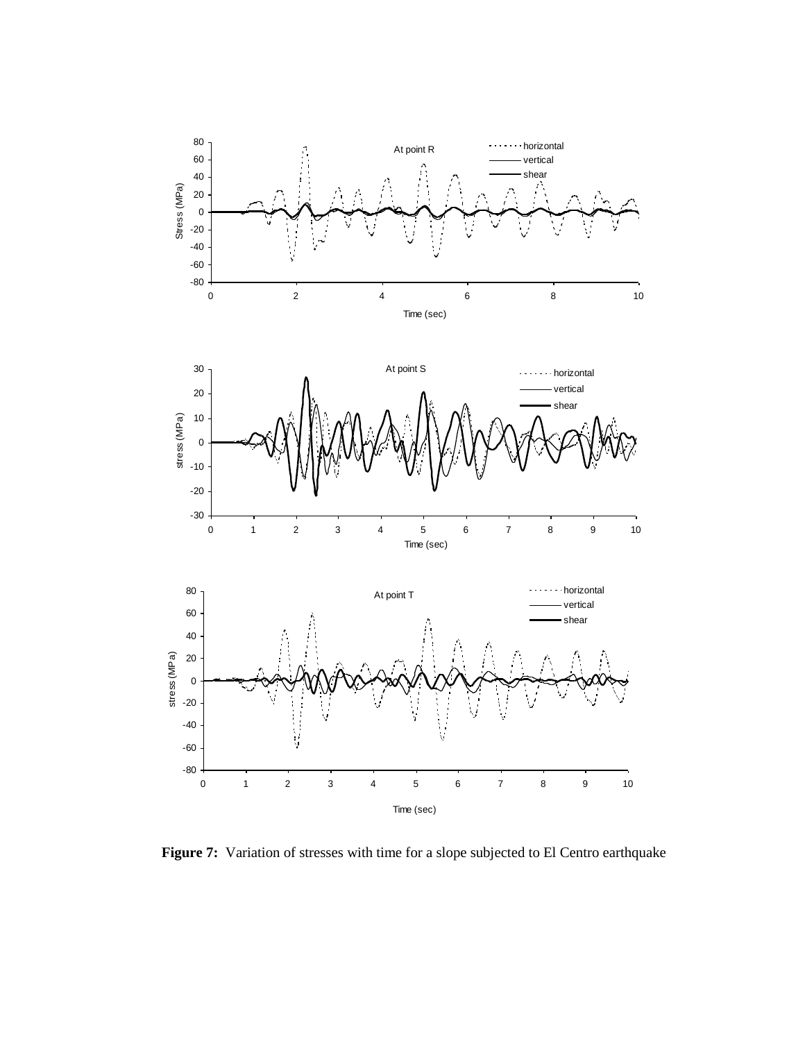

Figure 7: Variation of stresses with time for a slope subjected to El Centro earthquake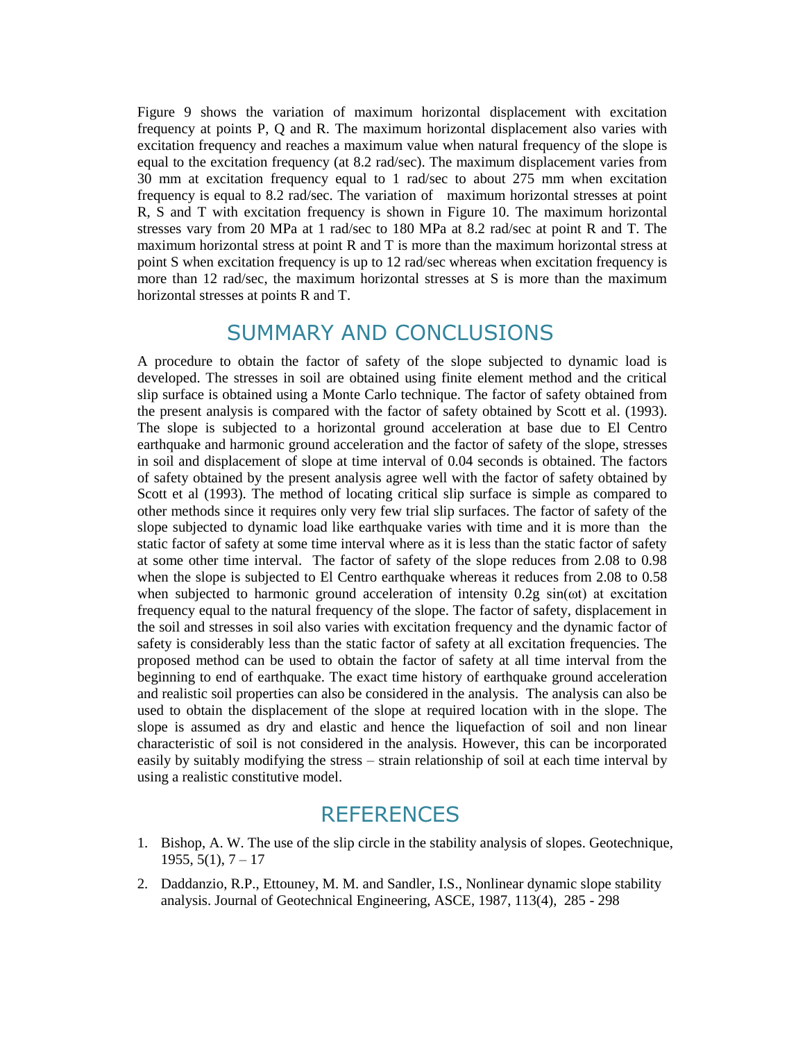Figure 9 shows the variation of maximum horizontal displacement with excitation frequency at points P, Q and R. The maximum horizontal displacement also varies with excitation frequency and reaches a maximum value when natural frequency of the slope is equal to the excitation frequency (at 8.2 rad/sec). The maximum displacement varies from 30 mm at excitation frequency equal to 1 rad/sec to about 275 mm when excitation frequency is equal to 8.2 rad/sec. The variation of maximum horizontal stresses at point R, S and T with excitation frequency is shown in Figure 10. The maximum horizontal stresses vary from 20 MPa at 1 rad/sec to 180 MPa at 8.2 rad/sec at point R and T. The maximum horizontal stress at point R and T is more than the maximum horizontal stress at point S when excitation frequency is up to 12 rad/sec whereas when excitation frequency is more than 12 rad/sec, the maximum horizontal stresses at S is more than the maximum horizontal stresses at points R and T.

## SUMMARY AND CONCLUSIONS

A procedure to obtain the factor of safety of the slope subjected to dynamic load is developed. The stresses in soil are obtained using finite element method and the critical slip surface is obtained using a Monte Carlo technique. The factor of safety obtained from the present analysis is compared with the factor of safety obtained by Scott et al. (1993). The slope is subjected to a horizontal ground acceleration at base due to El Centro earthquake and harmonic ground acceleration and the factor of safety of the slope, stresses in soil and displacement of slope at time interval of 0.04 seconds is obtained. The factors of safety obtained by the present analysis agree well with the factor of safety obtained by Scott et al (1993). The method of locating critical slip surface is simple as compared to other methods since it requires only very few trial slip surfaces. The factor of safety of the slope subjected to dynamic load like earthquake varies with time and it is more than the static factor of safety at some time interval where as it is less than the static factor of safety at some other time interval. The factor of safety of the slope reduces from 2.08 to 0.98 when the slope is subjected to El Centro earthquake whereas it reduces from 2.08 to 0.58 when subjected to harmonic ground acceleration of intensity  $0.2g \sin(\omega t)$  at excitation frequency equal to the natural frequency of the slope. The factor of safety, displacement in the soil and stresses in soil also varies with excitation frequency and the dynamic factor of safety is considerably less than the static factor of safety at all excitation frequencies. The proposed method can be used to obtain the factor of safety at all time interval from the beginning to end of earthquake. The exact time history of earthquake ground acceleration and realistic soil properties can also be considered in the analysis. The analysis can also be used to obtain the displacement of the slope at required location with in the slope. The slope is assumed as dry and elastic and hence the liquefaction of soil and non linear characteristic of soil is not considered in the analysis. However, this can be incorporated easily by suitably modifying the stress – strain relationship of soil at each time interval by using a realistic constitutive model.

# **REFERENCES**

- 1. Bishop, A. W. The use of the slip circle in the stability analysis of slopes. Geotechnique,  $1955, 5(1), 7 - 17$
- 2. Daddanzio, R.P., Ettouney, M. M. and Sandler, I.S., Nonlinear dynamic slope stability analysis. Journal of Geotechnical Engineering, ASCE, 1987, 113(4), 285 - 298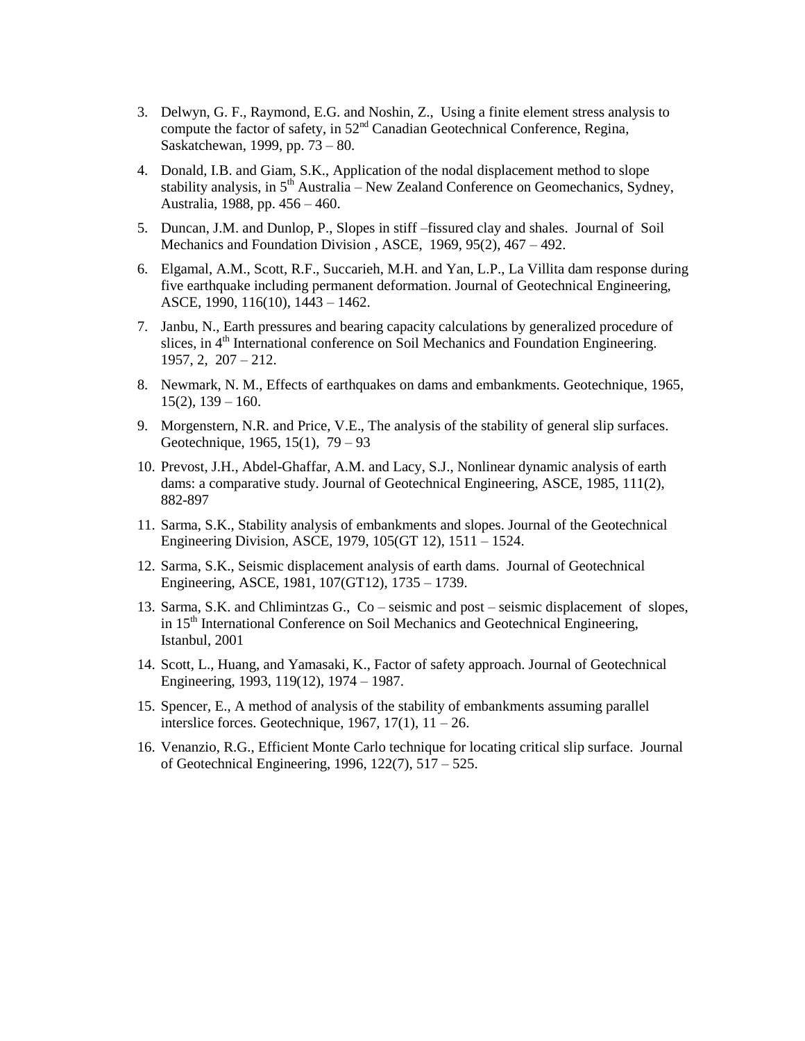- 3. Delwyn, G. F., Raymond, E.G. and Noshin, Z., Using a finite element stress analysis to compute the factor of safety, in 52<sup>nd</sup> Canadian Geotechnical Conference, Regina, Saskatchewan, 1999, pp. 73 – 80.
- 4. Donald, I.B. and Giam, S.K., Application of the nodal displacement method to slope stability analysis, in  $5<sup>th</sup>$  Australia – New Zealand Conference on Geomechanics, Sydney, Australia, 1988, pp. 456 – 460.
- 5. Duncan, J.M. and Dunlop, P., Slopes in stiff –fissured clay and shales. Journal of Soil Mechanics and Foundation Division , ASCE, 1969, 95(2), 467 – 492.
- 6. Elgamal, A.M., Scott, R.F., Succarieh, M.H. and Yan, L.P., La Villita dam response during five earthquake including permanent deformation. Journal of Geotechnical Engineering, ASCE, 1990, 116(10), 1443 – 1462.
- 7. Janbu, N., Earth pressures and bearing capacity calculations by generalized procedure of slices, in  $4<sup>th</sup>$  International conference on Soil Mechanics and Foundation Engineering. 1957, 2, 207 – 212.
- 8. Newmark, N. M., Effects of earthquakes on dams and embankments. Geotechnique, 1965,  $15(2)$ ,  $139 - 160$ .
- 9. Morgenstern, N.R. and Price, V.E., The analysis of the stability of general slip surfaces. Geotechnique, 1965, 15(1), 79 – 93
- 10. Prevost, J.H., Abdel-Ghaffar, A.M. and Lacy, S.J., Nonlinear dynamic analysis of earth dams: a comparative study. Journal of Geotechnical Engineering, ASCE, 1985, 111(2), 882-897
- 11. Sarma, S.K., Stability analysis of embankments and slopes. Journal of the Geotechnical Engineering Division, ASCE, 1979, 105(GT 12), 1511 – 1524.
- 12. Sarma, S.K., Seismic displacement analysis of earth dams. Journal of Geotechnical Engineering, ASCE, 1981, 107(GT12), 1735 – 1739.
- 13. Sarma, S.K. and Chlimintzas G., Co seismic and post seismic displacement of slopes, in 15<sup>th</sup> International Conference on Soil Mechanics and Geotechnical Engineering, Istanbul, 2001
- 14. Scott, L., Huang, and Yamasaki, K., Factor of safety approach. Journal of Geotechnical Engineering, 1993, 119(12), 1974 – 1987.
- 15. Spencer, E., A method of analysis of the stability of embankments assuming parallel interslice forces. Geotechnique, 1967, 17(1),  $11 - 26$ .
- 16. Venanzio, R.G., Efficient Monte Carlo technique for locating critical slip surface. Journal of Geotechnical Engineering, 1996, 122(7), 517 – 525.